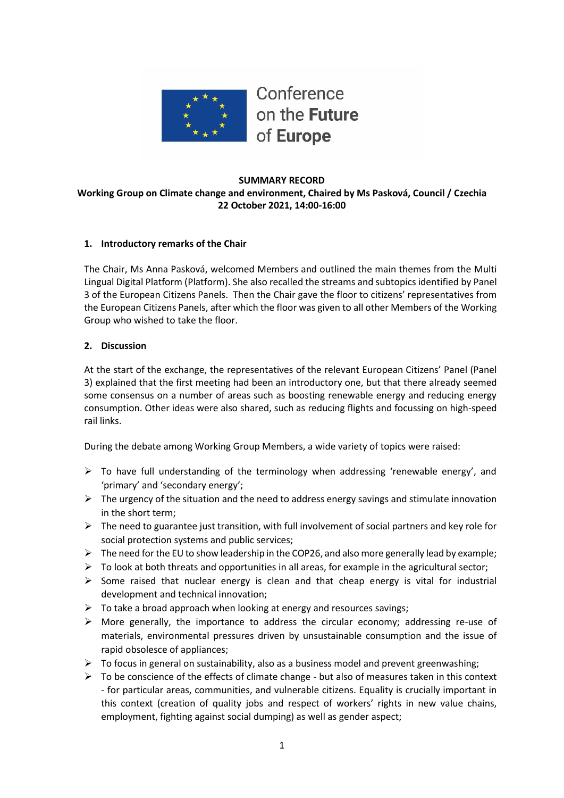

#### **SUMMARY RECORD Working Group on Climate change and environment, Chaired by Ms Pasková, Council / Czechia 22 October 2021, 14:00-16:00**

## **1. Introductory remarks of the Chair**

The Chair, Ms Anna Pasková, welcomed Members and outlined the main themes from the Multi Lingual Digital Platform (Platform). She also recalled the streams and subtopics identified by Panel 3 of the European Citizens Panels. Then the Chair gave the floor to citizens' representatives from the European Citizens Panels, after which the floor was given to all other Members of the Working Group who wished to take the floor.

## **2. Discussion**

At the start of the exchange, the representatives of the relevant European Citizens' Panel (Panel 3) explained that the first meeting had been an introductory one, but that there already seemed some consensus on a number of areas such as boosting renewable energy and reducing energy consumption. Other ideas were also shared, such as reducing flights and focussing on high-speed rail links.

During the debate among Working Group Members, a wide variety of topics were raised:

- $\triangleright$  To have full understanding of the terminology when addressing 'renewable energy', and 'primary' and 'secondary energy';
- $\triangleright$  The urgency of the situation and the need to address energy savings and stimulate innovation in the short term;
- $\triangleright$  The need to guarantee just transition, with full involvement of social partners and key role for social protection systems and public services;
- $\triangleright$  The need for the EU to show leadership in the COP26, and also more generally lead by example;
- $\triangleright$  To look at both threats and opportunities in all areas, for example in the agricultural sector;
- $\triangleright$  Some raised that nuclear energy is clean and that cheap energy is vital for industrial development and technical innovation;
- $\triangleright$  To take a broad approach when looking at energy and resources savings;
- $\triangleright$  More generally, the importance to address the circular economy; addressing re-use of materials, environmental pressures driven by unsustainable consumption and the issue of rapid obsolesce of appliances;
- $\triangleright$  To focus in general on sustainability, also as a business model and prevent greenwashing;
- $\triangleright$  To be conscience of the effects of climate change but also of measures taken in this context - for particular areas, communities, and vulnerable citizens. Equality is crucially important in this context (creation of quality jobs and respect of workers' rights in new value chains, employment, fighting against social dumping) as well as gender aspect;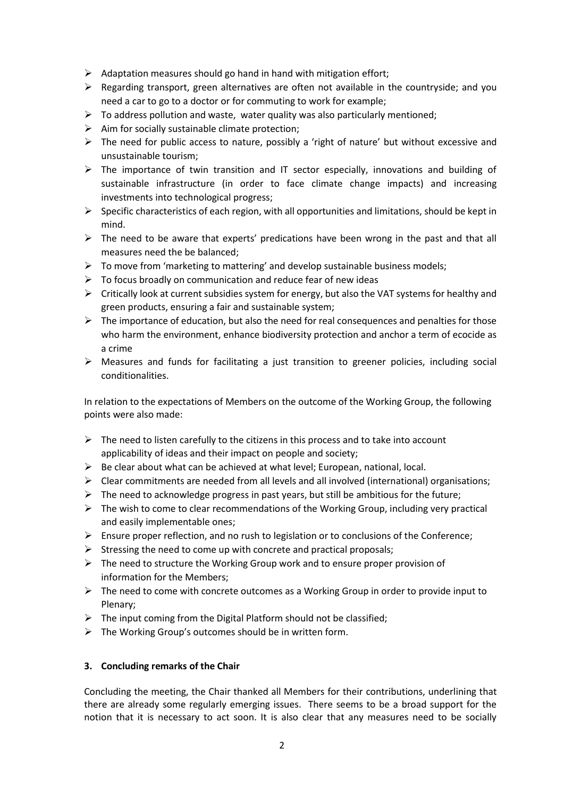- $\triangleright$  Adaptation measures should go hand in hand with mitigation effort;
- $\triangleright$  Regarding transport, green alternatives are often not available in the countryside; and you need a car to go to a doctor or for commuting to work for example;
- $\triangleright$  To address pollution and waste, water quality was also particularly mentioned;
- $\triangleright$  Aim for socially sustainable climate protection;
- $\triangleright$  The need for public access to nature, possibly a 'right of nature' but without excessive and unsustainable tourism;
- $\triangleright$  The importance of twin transition and IT sector especially, innovations and building of sustainable infrastructure (in order to face climate change impacts) and increasing investments into technological progress;
- $\triangleright$  Specific characteristics of each region, with all opportunities and limitations, should be kept in mind.
- $\triangleright$  The need to be aware that experts' predications have been wrong in the past and that all measures need the be balanced;
- $\triangleright$  To move from 'marketing to mattering' and develop sustainable business models;
- $\triangleright$  To focus broadly on communication and reduce fear of new ideas
- $\triangleright$  Critically look at current subsidies system for energy, but also the VAT systems for healthy and green products, ensuring a fair and sustainable system;
- $\triangleright$  The importance of education, but also the need for real consequences and penalties for those who harm the environment, enhance biodiversity protection and anchor a term of ecocide as a crime
- $\triangleright$  Measures and funds for facilitating a just transition to greener policies, including social conditionalities.

In relation to the expectations of Members on the outcome of the Working Group, the following points were also made:

- $\triangleright$  The need to listen carefully to the citizens in this process and to take into account applicability of ideas and their impact on people and society;
- $\triangleright$  Be clear about what can be achieved at what level; European, national, local.
- $\triangleright$  Clear commitments are needed from all levels and all involved (international) organisations;
- $\triangleright$  The need to acknowledge progress in past years, but still be ambitious for the future;
- $\triangleright$  The wish to come to clear recommendations of the Working Group, including very practical and easily implementable ones;
- $\triangleright$  Ensure proper reflection, and no rush to legislation or to conclusions of the Conference;
- $\triangleright$  Stressing the need to come up with concrete and practical proposals;
- $\triangleright$  The need to structure the Working Group work and to ensure proper provision of information for the Members;
- $\triangleright$  The need to come with concrete outcomes as a Working Group in order to provide input to Plenary;
- $\triangleright$  The input coming from the Digital Platform should not be classified;
- $\triangleright$  The Working Group's outcomes should be in written form.

#### **3. Concluding remarks of the Chair**

Concluding the meeting, the Chair thanked all Members for their contributions, underlining that there are already some regularly emerging issues. There seems to be a broad support for the notion that it is necessary to act soon. It is also clear that any measures need to be socially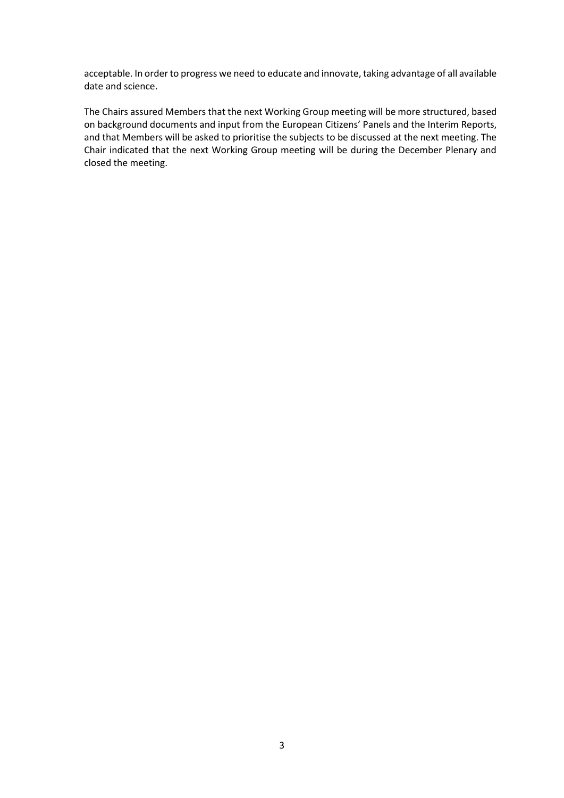acceptable. In order to progress we need to educate and innovate, taking advantage of all available date and science.

The Chairs assured Members that the next Working Group meeting will be more structured, based on background documents and input from the European Citizens' Panels and the Interim Reports, and that Members will be asked to prioritise the subjects to be discussed at the next meeting. The Chair indicated that the next Working Group meeting will be during the December Plenary and closed the meeting.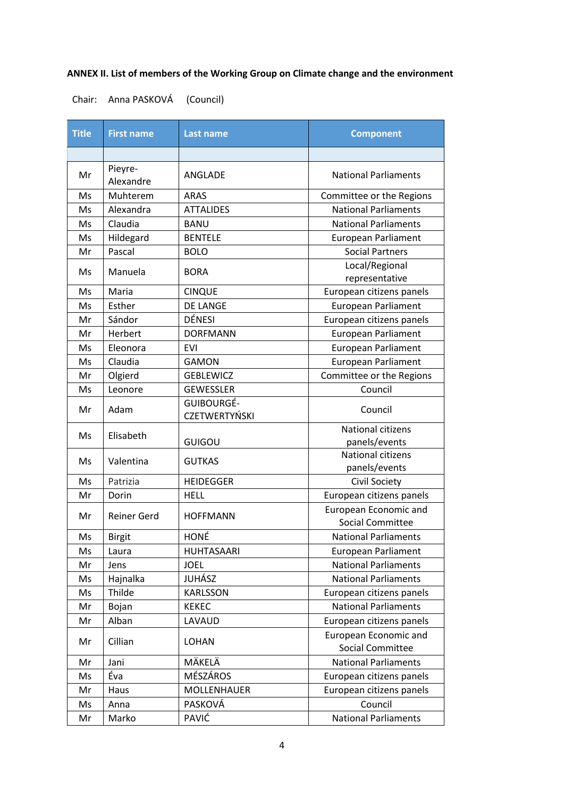# **ANNEX II. List of members of the Working Group on Climate change and the environment**

Chair: Anna PASKOVÁ (Council)

| <b>Title</b> | <b>First name</b>    | Last name                          | <b>Component</b>                                 |
|--------------|----------------------|------------------------------------|--------------------------------------------------|
|              |                      |                                    |                                                  |
| Mr           | Pieyre-<br>Alexandre | ANGLADE                            | <b>National Parliaments</b>                      |
| Ms           | Muhterem             | <b>ARAS</b>                        | Committee or the Regions                         |
| Ms           | Alexandra            | <b>ATTALIDES</b>                   | <b>National Parliaments</b>                      |
| Ms           | Claudia              | <b>BANU</b>                        | <b>National Parliaments</b>                      |
| Ms           | Hildegard            | <b>BENTELE</b>                     | <b>European Parliament</b>                       |
| Mr           | Pascal               | <b>BOLO</b>                        | <b>Social Partners</b>                           |
| Ms           | Manuela              | <b>BORA</b>                        | Local/Regional<br>representative                 |
| Ms           | Maria                | <b>CINQUE</b>                      | European citizens panels                         |
| Ms           | Esther               | <b>DE LANGE</b>                    | <b>European Parliament</b>                       |
| Mr           | Sándor               | <b>DÉNESI</b>                      | European citizens panels                         |
| Mr           | Herbert              | <b>DORFMANN</b>                    | <b>European Parliament</b>                       |
| Ms           | Eleonora             | <b>EVI</b>                         | <b>European Parliament</b>                       |
| Ms           | Claudia              | <b>GAMON</b>                       | <b>European Parliament</b>                       |
| Mr           | Olgierd              | <b>GEBLEWICZ</b>                   | Committee or the Regions                         |
| Ms           | Leonore              | <b>GEWESSLER</b>                   | Council                                          |
| Mr           | Adam                 | GUIBOURGÉ-<br><b>CZETWERTYŃSKI</b> | Council                                          |
| Ms           | Elisabeth            | GUIGOU                             | <b>National citizens</b><br>panels/events        |
| Ms           | Valentina            | <b>GUTKAS</b>                      | <b>National citizens</b><br>panels/events        |
| Ms           | Patrizia             | <b>HEIDEGGER</b>                   | Civil Society                                    |
| Mr           | Dorin                | <b>HELL</b>                        | European citizens panels                         |
| Mr           | <b>Reiner Gerd</b>   | <b>HOFFMANN</b>                    | European Economic and<br><b>Social Committee</b> |
| Ms           | <b>Birgit</b>        | HONÉ                               | <b>National Parliaments</b>                      |
| Ms           | Laura                | <b>HUHTASAARI</b>                  | <b>European Parliament</b>                       |
| Mr           | Jens                 | <b>JOEL</b>                        | <b>National Parliaments</b>                      |
| Ms           | Hajnalka             | JUHÁSZ                             | <b>National Parliaments</b>                      |
| Ms           | Thilde               | <b>KARLSSON</b>                    | European citizens panels                         |
| Mr           | Bojan                | <b>KEKEC</b>                       | <b>National Parliaments</b>                      |
| Mr           | Alban                | LAVAUD                             | European citizens panels                         |
| Mr           | Cillian              | <b>LOHAN</b>                       | European Economic and<br><b>Social Committee</b> |
| Mr           | Jani                 | MÄKELÄ                             | <b>National Parliaments</b>                      |
| Ms           | Éva                  | MÉSZÁROS                           | European citizens panels                         |
| Mr           | Haus                 | <b>MOLLENHAUER</b>                 | European citizens panels                         |
| Ms           | Anna                 | PASKOVÁ                            | Council                                          |
| Mr           | Marko                | PAVIĆ                              | <b>National Parliaments</b>                      |